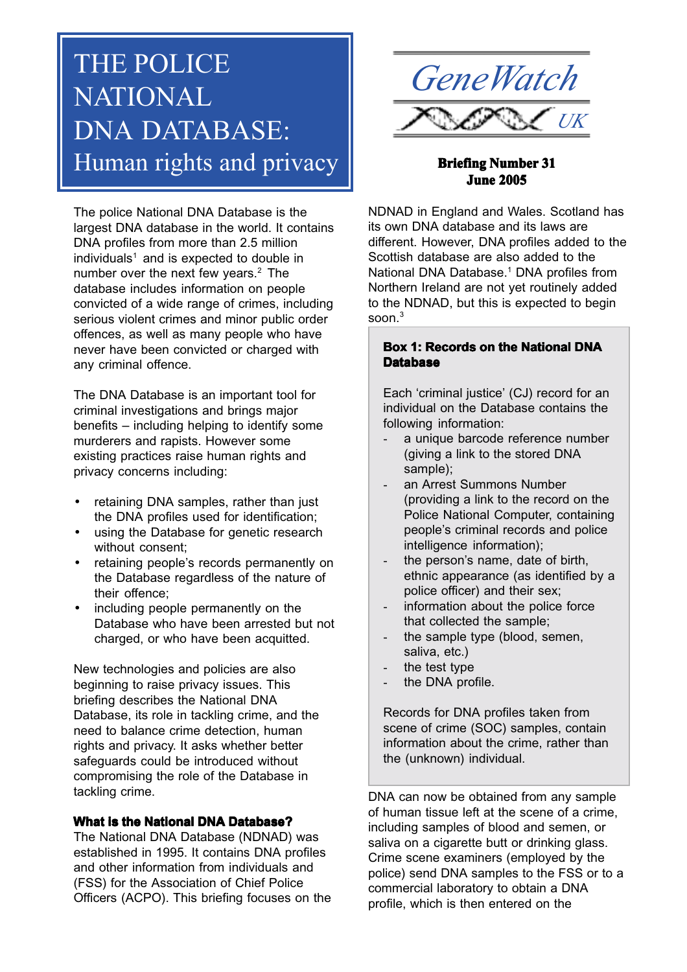# THE POLICE NATIONAL DNA DATABASE: Human rights and privacy **Briefing Number 31**

The police National DNA Database is the largest DNA database in the world. It contains DNA profiles from more than 2.5 million individuals<sup>1</sup> and is expected to double in number over the next few years.<sup>2</sup> The database includes information on people convicted of a wide range of crimes, including serious violent crimes and minor public order offences, as well as many people who have never have been convicted or charged with any criminal offence.

The DNA Database is an important tool for criminal investigations and brings major benefits – including helping to identify some murderers and rapists. However some existing practices raise human rights and privacy concerns including:

- retaining DNA samples, rather than just the DNA profiles used for identification;
- using the Database for genetic research without consent;
- retaining people's records permanently on the Database regardless of the nature of their offence;
- including people permanently on the Database who have been arrested but not charged, or who have been acquitted.

New technologies and policies are also beginning to raise privacy issues. This briefing describes the National DNA Database, its role in tackling crime, and the need to balance crime detection, human rights and privacy. It asks whether better safeguards could be introduced without compromising the role of the Database in tackling crime.

# **What is the National DNA Database?**

The National DNA Database (NDNAD) was established in 1995. It contains DNA profiles and other information from individuals and (FSS) for the Association of Chief Police Officers (ACPO). This briefing focuses on the



# **June 2005**

NDNAD in England and Wales. Scotland has its own DNA database and its laws are different. However, DNA profiles added to the Scottish database are also added to the National DNA Database.<sup>1</sup> DNA profiles from Northern Ireland are not yet routinely added to the NDNAD, but this is expected to begin soon. $3$ 

# **Box 1: Records on the National DNA Database**

Each 'criminal justice' (CJ) record for an individual on the Database contains the following information:

- a unique barcode reference number (giving a link to the stored DNA sample);
- an Arrest Summons Number (providing a link to the record on the Police National Computer, containing people's criminal records and police intelligence information);
- the person's name, date of birth, ethnic appearance (as identified by a police officer) and their sex;
- information about the police force that collected the sample;
- the sample type (blood, semen, saliva, etc.)
- the test type
- the DNA profile.

Records for DNA profiles taken from scene of crime (SOC) samples, contain information about the crime, rather than the (unknown) individual.

DNA can now be obtained from any sample of human tissue left at the scene of a crime, including samples of blood and semen, or saliva on a cigarette butt or drinking glass. Crime scene examiners (employed by the police) send DNA samples to the FSS or to a commercial laboratory to obtain a DNA profile, which is then entered on the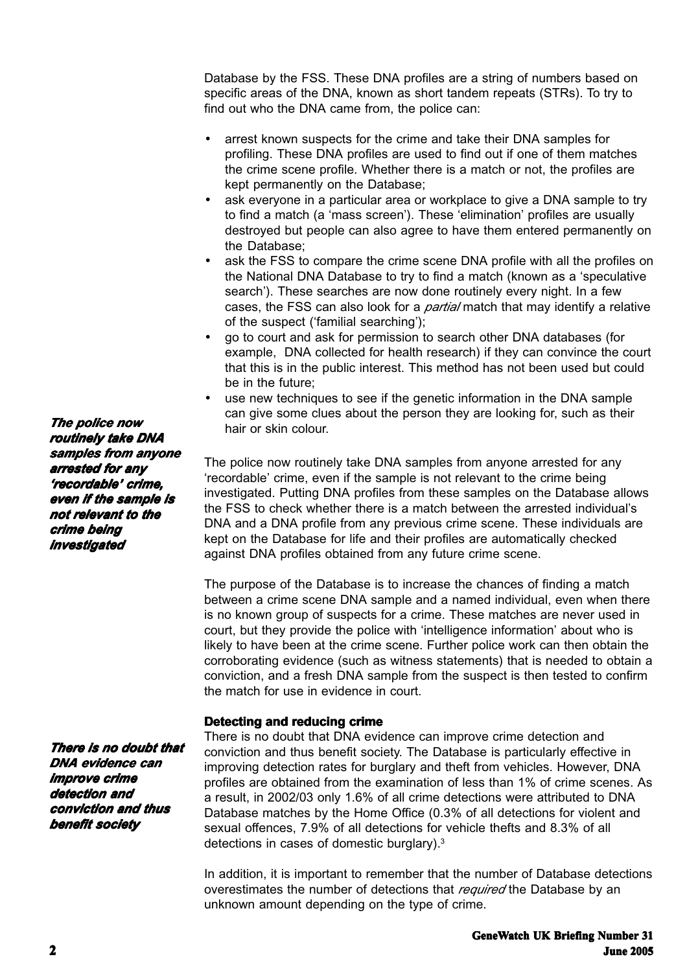Database by the FSS. These DNA profiles are a string of numbers based on specific areas of the DNA, known as short tandem repeats (STRs). To try to find out who the DNA came from, the police can:

- arrest known suspects for the crime and take their DNA samples for profiling. These DNA profiles are used to find out if one of them matches the crime scene profile. Whether there is a match or not, the profiles are kept permanently on the Database;
- ask everyone in a particular area or workplace to give a DNA sample to try to find a match (a 'mass screen'). These 'elimination' profiles are usually destroyed but people can also agree to have them entered permanently on the Database;
- ask the FSS to compare the crime scene DNA profile with all the profiles on the National DNA Database to try to find a match (known as a 'speculative search'). These searches are now done routinely every night. In a few cases, the FSS can also look for a *partial* match that may identify a relative of the suspect ('familial searching');
- go to court and ask for permission to search other DNA databases (for example, DNA collected for health research) if they can convince the court that this is in the public interest. This method has not been used but could be in the future;
- use new techniques to see if the genetic information in the DNA sample can give some clues about the person they are looking for, such as their hair or skin colour.

The police now routinely take DNA samples from anyone arrested for any 'recordable' crime, even if the sample is not relevant to the crime being investigated. Putting DNA profiles from these samples on the Database allows the FSS to check whether there is a match between the arrested individual's DNA and a DNA profile from any previous crime scene. These individuals are kept on the Database for life and their profiles are automatically checked against DNA profiles obtained from any future crime scene.

The purpose of the Database is to increase the chances of finding a match between a crime scene DNA sample and a named individual, even when there is no known group of suspects for a crime. These matches are never used in court, but they provide the police with 'intelligence information' about who is likely to have been at the crime scene. Further police work can then obtain the corroborating evidence (such as witness statements) that is needed to obtain a conviction, and a fresh DNA sample from the suspect is then tested to confirm the match for use in evidence in court.

# **Detecting and reducing crime**

There is no doubt that DNA evidence can improve crime detection and conviction and thus benefit society. The Database is particularly effective in improving detection rates for burglary and theft from vehicles. However, DNA profiles are obtained from the examination of less than 1% of crime scenes. As a result, in 2002/03 only 1.6% of all crime detections were attributed to DNA Database matches by the Home Office (0.3% of all detections for violent and sexual offences, 7.9% of all detections for vehicle thefts and 8.3% of all detections in cases of domestic burglary).3

In addition, it is important to remember that the number of Database detections overestimates the number of detections that *required* the Database by an unknown amount depending on the type of crime.

*The police now routinely take DNA samples from anyone arrested for any 'recordable' crime, crime, even if the sample is not relevant to the crime being investigated*

*There is no doubt that no doubt DNA evidence can improve crime detection and conviction and thus benefit society*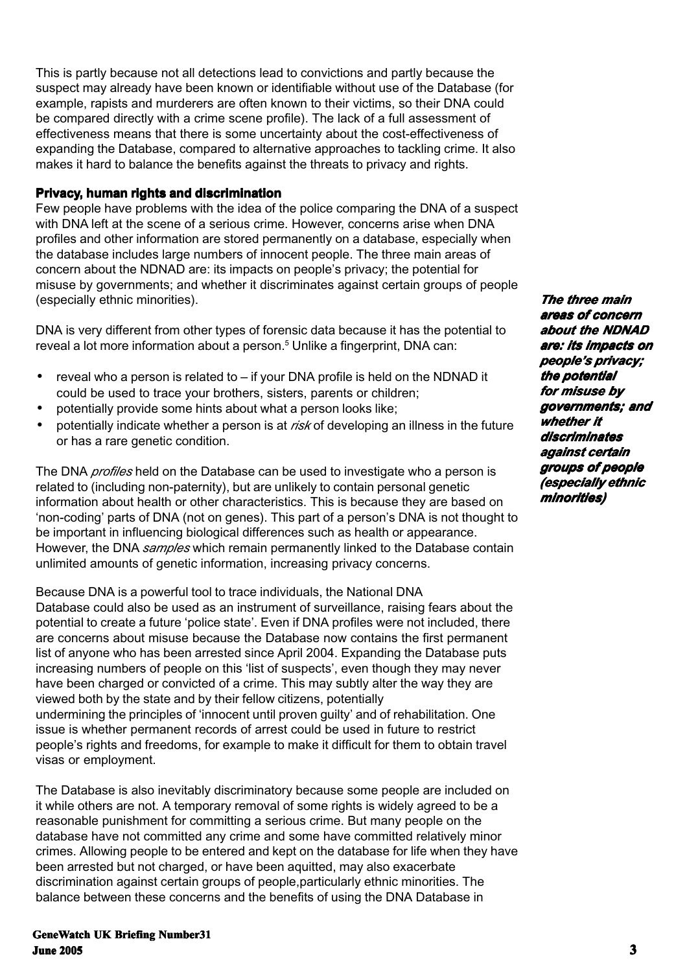This is partly because not all detections lead to convictions and partly because the suspect may already have been known or identifiable without use of the Database (for example, rapists and murderers are often known to their victims, so their DNA could be compared directly with a crime scene profile). The lack of a full assessment of effectiveness means that there is some uncertainty about the cost-effectiveness of expanding the Database, compared to alternative approaches to tackling crime. It also makes it hard to balance the benefits against the threats to privacy and rights.

# **Privacy, human rights and discrimination**

Few people have problems with the idea of the police comparing the DNA of a suspect with DNA left at the scene of a serious crime. However, concerns arise when DNA profiles and other information are stored permanently on a database, especially when the database includes large numbers of innocent people. The three main areas of concern about the NDNAD are: its impacts on people's privacy; the potential for misuse by governments; and whether it discriminates against certain groups of people (especially ethnic minorities).

DNA is very different from other types of forensic data because it has the potential to reveal a lot more information about a person.<sup>5</sup> Unlike a fingerprint, DNA can:

- reveal who a person is related to if your DNA profile is held on the NDNAD it could be used to trace your brothers, sisters, parents or children;
- potentially provide some hints about what a person looks like;
- potentially indicate whether a person is at *risk* of developing an illness in the future or has a rare genetic condition.

The DNA *profiles* held on the Database can be used to investigate who a person is related to (including non-paternity), but are unlikely to contain personal genetic information about health or other characteristics. This is because they are based on 'non-coding' parts of DNA (not on genes). This part of a person's DNA is not thought to be important in influencing biological differences such as health or appearance. However, the DNA *samples* which remain permanently linked to the Database contain unlimited amounts of genetic information, increasing privacy concerns.

Because DNA is a powerful tool to trace individuals, the National DNA Database could also be used as an instrument of surveillance, raising fears about the potential to create a future 'police state'. Even if DNA profiles were not included, there are concerns about misuse because the Database now contains the first permanent list of anyone who has been arrested since April 2004. Expanding the Database puts increasing numbers of people on this 'list of suspects', even though they may never have been charged or convicted of a crime. This may subtly alter the way they are viewed both by the state and by their fellow citizens, potentially undermining the principles of 'innocent until proven guilty' and of rehabilitation. One issue is whether permanent records of arrest could be used in future to restrict people's rights and freedoms, for example to make it difficult for them to obtain travel visas or employment.

The Database is also inevitably discriminatory because some people are included on it while others are not. A temporary removal of some rights is widely agreed to be a reasonable punishment for committing a serious crime. But many people on the database have not committed any crime and some have committed relatively minor crimes. Allowing people to be entered and kept on the database for life when they have been arrested but not charged, or have been aquitted, may also exacerbate discrimination against certain groups of people,particularly ethnic minorities. The balance between these concerns and the benefits of using the DNA Database in

# **GeneWatch UK Briefing Number31 June 2005 3**

*The three main areas of concern about the NDNAD are: its impacts on people's privacy; the potential the potential for misuse by governments; and whether it whether discriminates against certain groups of people (especially ethnic minorities)*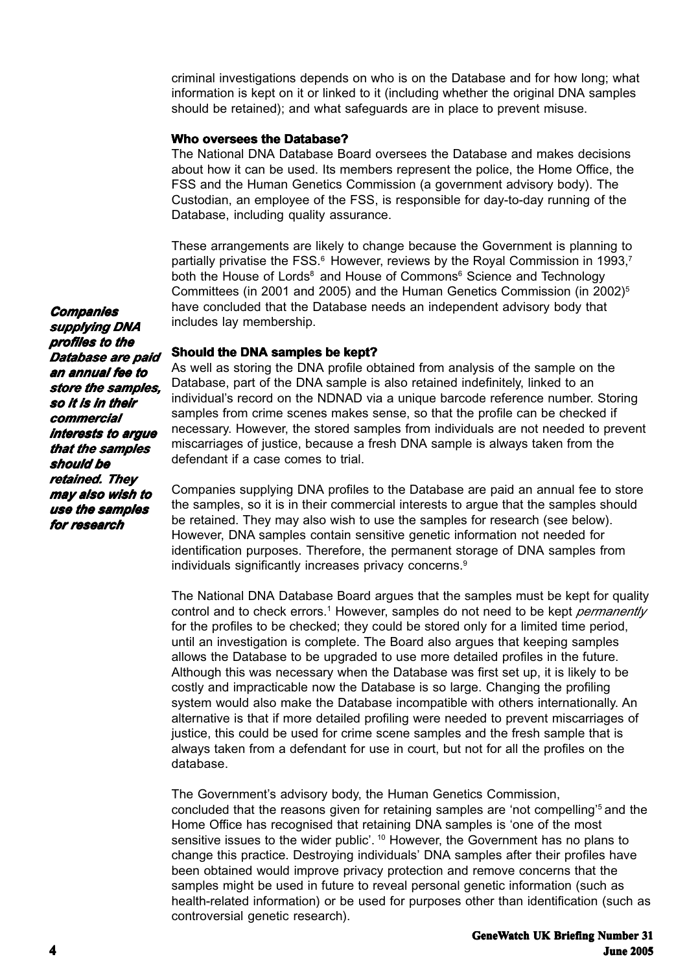criminal investigations depends on who is on the Database and for how long; what information is kept on it or linked to it (including whether the original DNA samples should be retained); and what safeguards are in place to prevent misuse.

### **Who oversees the Database?**

The National DNA Database Board oversees the Database and makes decisions about how it can be used. Its members represent the police, the Home Office, the FSS and the Human Genetics Commission (a government advisory body). The Custodian, an employee of the FSS, is responsible for day-to-day running of the Database, including quality assurance.

These arrangements are likely to change because the Government is planning to partially privatise the FSS.<sup>6</sup> However, reviews by the Royal Commission in 1993,<sup>7</sup> both the House of Lords<sup>8</sup> and House of Commons<sup>6</sup> Science and Technology Committees (in 2001 and 2005) and the Human Genetics Commission (in  $2002$ <sup>5</sup>) have concluded that the Database needs an independent advisory body that includes lay membership.

#### **Should the DNA samples be kept?**

As well as storing the DNA profile obtained from analysis of the sample on the Database, part of the DNA sample is also retained indefinitely, linked to an individual's record on the NDNAD via a unique barcode reference number. Storing samples from crime scenes makes sense, so that the profile can be checked if necessary. However, the stored samples from individuals are not needed to prevent miscarriages of justice, because a fresh DNA sample is always taken from the defendant if a case comes to trial.

Companies supplying DNA profiles to the Database are paid an annual fee to store the samples, so it is in their commercial interests to argue that the samples should be retained. They may also wish to use the samples for research (see below). However, DNA samples contain sensitive genetic information not needed for identification purposes. Therefore, the permanent storage of DNA samples from individuals significantly increases privacy concerns.<sup>9</sup>

The National DNA Database Board argues that the samples must be kept for quality control and to check errors.<sup>1</sup> However, samples do not need to be kept *permanently* for the profiles to be checked; they could be stored only for a limited time period, until an investigation is complete. The Board also argues that keeping samples allows the Database to be upgraded to use more detailed profiles in the future. Although this was necessary when the Database was first set up, it is likely to be costly and impracticable now the Database is so large. Changing the profiling system would also make the Database incompatible with others internationally. An alternative is that if more detailed profiling were needed to prevent miscarriages of justice, this could be used for crime scene samples and the fresh sample that is always taken from a defendant for use in court, but not for all the profiles on the database.

The Government's advisory body, the Human Genetics Commission, concluded that the reasons given for retaining samples are 'not compelling'5 and the Home Office has recognised that retaining DNA samples is 'one of the most sensitive issues to the wider public'.<sup>10</sup> However, the Government has no plans to change this practice. Destroying individuals' DNA samples after their profiles have been obtained would improve privacy protection and remove concerns that the samples might be used in future to reveal personal genetic information (such as health-related information) or be used for purposes other than identification (such as controversial genetic research).

*Companies supplying DNA profiles to the Database are paid an annual fee to store the samples, the samples, so it is in their commercial commercial interests to argue that the samples should be retained. They may also wish to use the samples for research*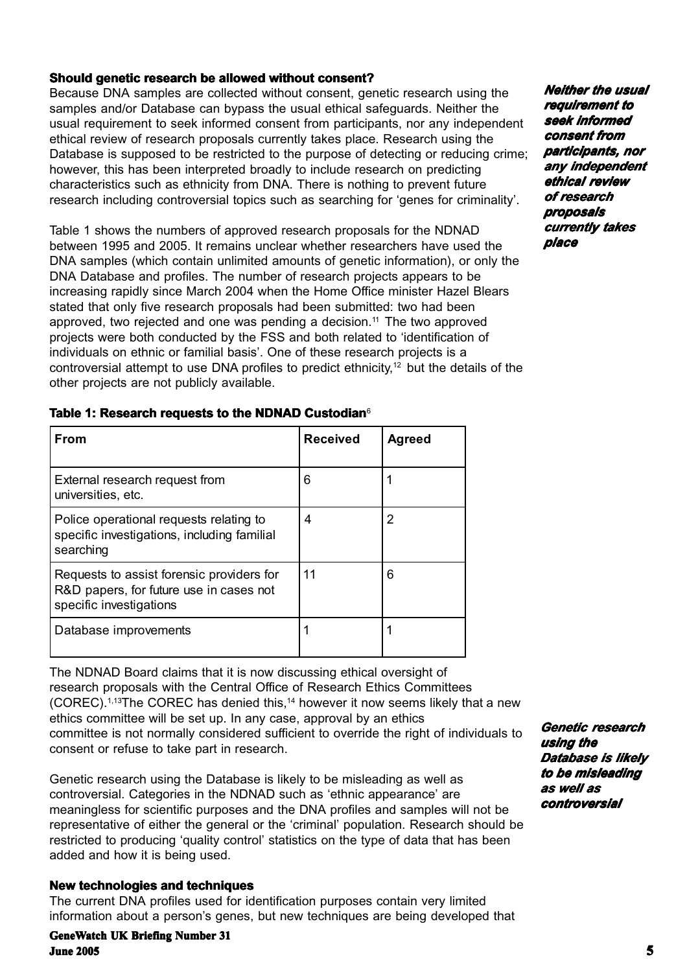# **Should genetic research be allowed without consent?**

Because DNA samples are collected without consent, genetic research using the samples and/or Database can bypass the usual ethical safeguards. Neither the usual requirement to seek informed consent from participants, nor any independent ethical review of research proposals currently takes place. Research using the Database is supposed to be restricted to the purpose of detecting or reducing crime; however, this has been interpreted broadly to include research on predicting characteristics such as ethnicity from DNA. There is nothing to prevent future research including controversial topics such as searching for 'genes for criminality'.

Table 1 shows the numbers of approved research proposals for the NDNAD between 1995 and 2005. It remains unclear whether researchers have used the DNA samples (which contain unlimited amounts of genetic information), or only the DNA Database and profiles. The number of research projects appears to be increasing rapidly since March 2004 when the Home Office minister Hazel Blears stated that only five research proposals had been submitted: two had been approved, two rejected and one was pending a decision.<sup>11</sup> The two approved projects were both conducted by the FSS and both related to 'identification of individuals on ethnic or familial basis'. One of these research projects is a controversial attempt to use DNA profiles to predict ethnicity,<sup>12</sup> but the details of the other projects are not publicly available.

*Neither the usual Neither requirement to seek informed consent from participants, nor any independent any ethical review of research research proposals currently takes place*

| Table 1: Research requests to the NDNAD Custodian $^{\circ}$ |  |  |  |  |  |  |
|--------------------------------------------------------------|--|--|--|--|--|--|
|--------------------------------------------------------------|--|--|--|--|--|--|

| <b>From</b>                                                                                                     | <b>Received</b> | <b>Agreed</b> |
|-----------------------------------------------------------------------------------------------------------------|-----------------|---------------|
| External research request from<br>universities, etc.                                                            | 6               |               |
| Police operational requests relating to<br>specific investigations, including familial<br>searching             | 4               | 2             |
| Requests to assist forensic providers for<br>R&D papers, for future use in cases not<br>specific investigations | 11              | 6             |
| Database improvements                                                                                           |                 |               |

The NDNAD Board claims that it is now discussing ethical oversight of research proposals with the Central Office of Research Ethics Committees (COREC).1,13The COREC has denied this,14 however it now seems likely that a new ethics committee will be set up. In any case, approval by an ethics committee is not normally considered sufficient to override the right of individuals to consent or refuse to take part in research.

Genetic research using the Database is likely to be misleading as well as controversial. Categories in the NDNAD such as 'ethnic appearance' are meaningless for scientific purposes and the DNA profiles and samples will not be representative of either the general or the 'criminal' population. Research should be restricted to producing 'quality control' statistics on the type of data that has been added and how it is being used.

## **New technologies and techniques**

The current DNA profiles used for identification purposes contain very limited information about a person's genes, but new techniques are being developed that

**GeneWatch UK Briefing Number 31 June 2005 5**

*Genetic research using the Database is likely to be misleading as well as controversial controversial*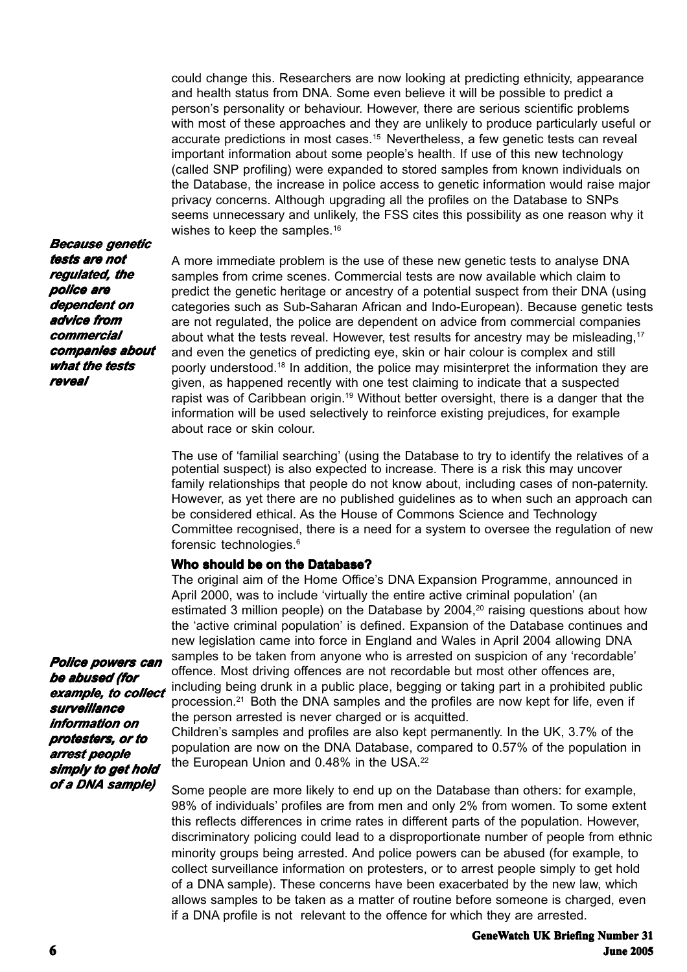could change this. Researchers are now looking at predicting ethnicity, appearance and health status from DNA. Some even believe it will be possible to predict a person's personality or behaviour. However, there are serious scientific problems with most of these approaches and they are unlikely to produce particularly useful or accurate predictions in most cases.15 Nevertheless, a few genetic tests can reveal important information about some people's health. If use of this new technology (called SNP profiling) were expanded to stored samples from known individuals on the Database, the increase in police access to genetic information would raise major privacy concerns. Although upgrading all the profiles on the Database to SNPs seems unnecessary and unlikely, the FSS cites this possibility as one reason why it wishes to keep the samples.<sup>16</sup>

A more immediate problem is the use of these new genetic tests to analyse DNA samples from crime scenes. Commercial tests are now available which claim to predict the genetic heritage or ancestry of a potential suspect from their DNA (using categories such as Sub-Saharan African and Indo-European). Because genetic tests are not regulated, the police are dependent on advice from commercial companies about what the tests reveal. However, test results for ancestry may be misleading,17 and even the genetics of predicting eye, skin or hair colour is complex and still poorly understood.18 In addition, the police may misinterpret the information they are given, as happened recently with one test claiming to indicate that a suspected rapist was of Caribbean origin.<sup>19</sup> Without better oversight, there is a danger that the information will be used selectively to reinforce existing prejudices, for example about race or skin colour.

The use of 'familial searching' (using the Database to try to identify the relatives of a potential suspect) is also expected to increase. There is a risk this may uncover family relationships that people do not know about, including cases of non-paternity. However, as yet there are no published guidelines as to when such an approach can be considered ethical. As the House of Commons Science and Technology Committee recognised, there is a need for a system to oversee the regulation of new forensic technologies.6

### **Who should be on the Database?**

The original aim of the Home Office's DNA Expansion Programme, announced in April 2000, was to include 'virtually the entire active criminal population' (an estimated 3 million people) on the Database by  $2004<sup>20</sup>$  raising questions about how the 'active criminal population' is defined. Expansion of the Database continues and new legislation came into force in England and Wales in April 2004 allowing DNA samples to be taken from anyone who is arrested on suspicion of any 'recordable' offence. Most driving offences are not recordable but most other offences are, including being drunk in a public place, begging or taking part in a prohibited public procession.21 Both the DNA samples and the profiles are now kept for life, even if the person arrested is never charged or is acquitted.

Children's samples and profiles are also kept permanently. In the UK, 3.7% of the population are now on the DNA Database, compared to 0.57% of the population in the European Union and 0.48% in the USA.<sup>22</sup>

Some people are more likely to end up on the Database than others: for example, 98% of individuals' profiles are from men and only 2% from women. To some extent this reflects differences in crime rates in different parts of the population. However, discriminatory policing could lead to a disproportionate number of people from ethnic minority groups being arrested. And police powers can be abused (for example, to collect surveillance information on protesters, or to arrest people simply to get hold of a DNA sample). These concerns have been exacerbated by the new law, which allows samples to be taken as a matter of routine before someone is charged, even if a DNA profile is not relevant to the offence for which they are arrested.

*Police powers can be abused (for example, to collect example, to surveillance information on protesters, or to arrest people simply to get hold of a DNA sample) of a DNA sample)*

*Because genetic tests are not tests not regulated, the police are dependent on advice from commercial commercial companies about companies what the tests reveal*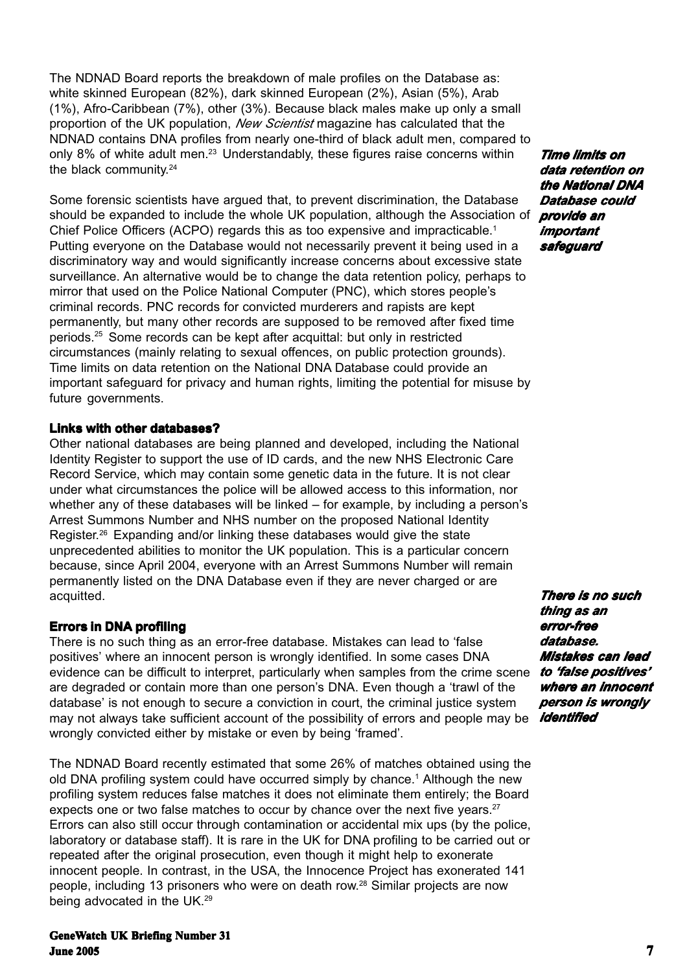The NDNAD Board reports the breakdown of male profiles on the Database as: white skinned European (82%), dark skinned European (2%), Asian (5%), Arab (1%), Afro-Caribbean (7%), other (3%). Because black males make up only a small proportion of the UK population, *New Scientist* magazine has calculated that the NDNAD contains DNA profiles from nearly one-third of black adult men, compared to only 8% of white adult men.<sup>23</sup> Understandably, these figures raise concerns within the black community.<sup>24</sup>

Some forensic scientists have argued that, to prevent discrimination, the Database should be expanded to include the whole UK population, although the Association of Chief Police Officers (ACPO) regards this as too expensive and impracticable.<sup>1</sup> Putting everyone on the Database would not necessarily prevent it being used in a discriminatory way and would significantly increase concerns about excessive state surveillance. An alternative would be to change the data retention policy, perhaps to mirror that used on the Police National Computer (PNC), which stores people's criminal records. PNC records for convicted murderers and rapists are kept permanently, but many other records are supposed to be removed after fixed time periods.25 Some records can be kept after acquittal: but only in restricted circumstances (mainly relating to sexual offences, on public protection grounds). Time limits on data retention on the National DNA Database could provide an important safeguard for privacy and human rights, limiting the potential for misuse by future governments.

## **Links with other databases?**

Other national databases are being planned and developed, including the National Identity Register to support the use of ID cards, and the new NHS Electronic Care Record Service, which may contain some genetic data in the future. It is not clear under what circumstances the police will be allowed access to this information, nor whether any of these databases will be linked – for example, by including a person's Arrest Summons Number and NHS number on the proposed National Identity Register.26 Expanding and/or linking these databases would give the state unprecedented abilities to monitor the UK population. This is a particular concern because, since April 2004, everyone with an Arrest Summons Number will remain permanently listed on the DNA Database even if they are never charged or are acquitted.

# **Errors in DNA profiling**

There is no such thing as an error-free database. Mistakes can lead to 'false positives' where an innocent person is wrongly identified. In some cases DNA evidence can be difficult to interpret, particularly when samples from the crime scene are degraded or contain more than one person's DNA. Even though a 'trawl of the database' is not enough to secure a conviction in court, the criminal justice system may not always take sufficient account of the possibility of errors and people may be *identified*wrongly convicted either by mistake or even by being 'framed'.

The NDNAD Board recently estimated that some 26% of matches obtained using the old DNA profiling system could have occurred simply by chance.<sup>1</sup> Although the new profiling system reduces false matches it does not eliminate them entirely; the Board expects one or two false matches to occur by chance over the next five years.<sup>27</sup> Errors can also still occur through contamination or accidental mix ups (by the police, laboratory or database staff). It is rare in the UK for DNA profiling to be carried out or repeated after the original prosecution, even though it might help to exonerate innocent people. In contrast, in the USA, the Innocence Project has exonerated 141 people, including 13 prisoners who were on death row.28 Similar projects are now being advocated in the UK.29

*Time limits on data retention on the National DNA Database could provide an important safeguard*

*There is no such thing as an error-free database. Mistakes can lead to 'false positives' positives' where an innocent an person is wrongly*